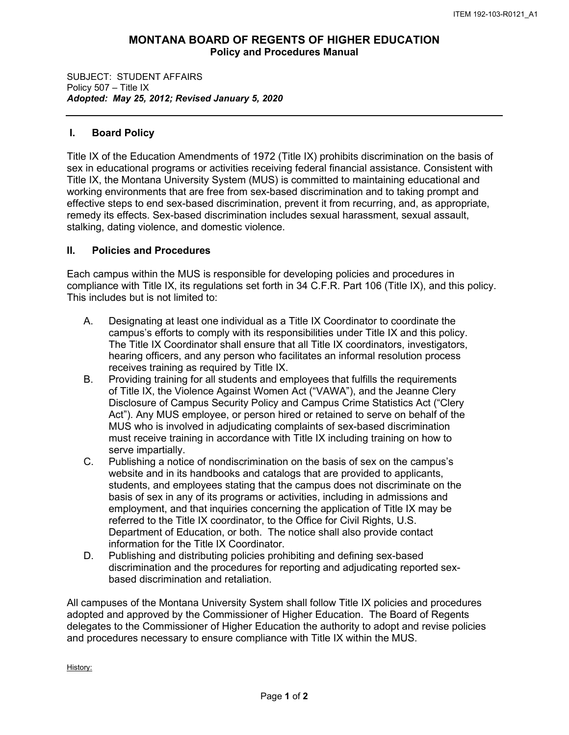## **MONTANA BOARD OF REGENTS OF HIGHER EDUCATION Policy and Procedures Manual**

SUBJECT: STUDENT AFFAIRS Policy 507 – Title IX *Adopted: May 25, 2012; Revised January 5, 2020*

## **I. Board Policy**

Title IX of the Education Amendments of 1972 (Title IX) prohibits discrimination on the basis of sex in educational programs or activities receiving federal financial assistance. Consistent with Title IX, the Montana University System (MUS) is committed to maintaining educational and working environments that are free from sex-based discrimination and to taking prompt and effective steps to end sex-based discrimination, prevent it from recurring, and, as appropriate, remedy its effects. Sex-based discrimination includes sexual harassment, sexual assault, stalking, dating violence, and domestic violence.

## **II. Policies and Procedures**

Each campus within the MUS is responsible for developing policies and procedures in compliance with Title IX, its regulations set forth in 34 C.F.R. Part 106 (Title IX), and this policy. This includes but is not limited to:

- A. Designating at least one individual as a Title IX Coordinator to coordinate the campus's efforts to comply with its responsibilities under Title IX and this policy. The Title IX Coordinator shall ensure that all Title IX coordinators, investigators, hearing officers, and any person who facilitates an informal resolution process receives training as required by Title IX.
- B. Providing training for all students and employees that fulfills the requirements of Title IX, the Violence Against Women Act ("VAWA"), and the Jeanne Clery Disclosure of Campus Security Policy and Campus Crime Statistics Act ("Clery Act"). Any MUS employee, or person hired or retained to serve on behalf of the MUS who is involved in adjudicating complaints of sex-based discrimination must receive training in accordance with Title IX including training on how to serve impartially.
- C. Publishing a notice of nondiscrimination on the basis of sex on the campus's website and in its handbooks and catalogs that are provided to applicants, students, and employees stating that the campus does not discriminate on the basis of sex in any of its programs or activities, including in admissions and employment, and that inquiries concerning the application of Title IX may be referred to the Title IX coordinator, to the Office for Civil Rights, U.S. Department of Education, or both. The notice shall also provide contact information for the Title IX Coordinator.
- D. Publishing and distributing policies prohibiting and defining sex-based discrimination and the procedures for reporting and adjudicating reported sexbased discrimination and retaliation.

All campuses of the Montana University System shall follow Title IX policies and procedures adopted and approved by the Commissioner of Higher Education. The Board of Regents delegates to the Commissioner of Higher Education the authority to adopt and revise policies and procedures necessary to ensure compliance with Title IX within the MUS.

History: